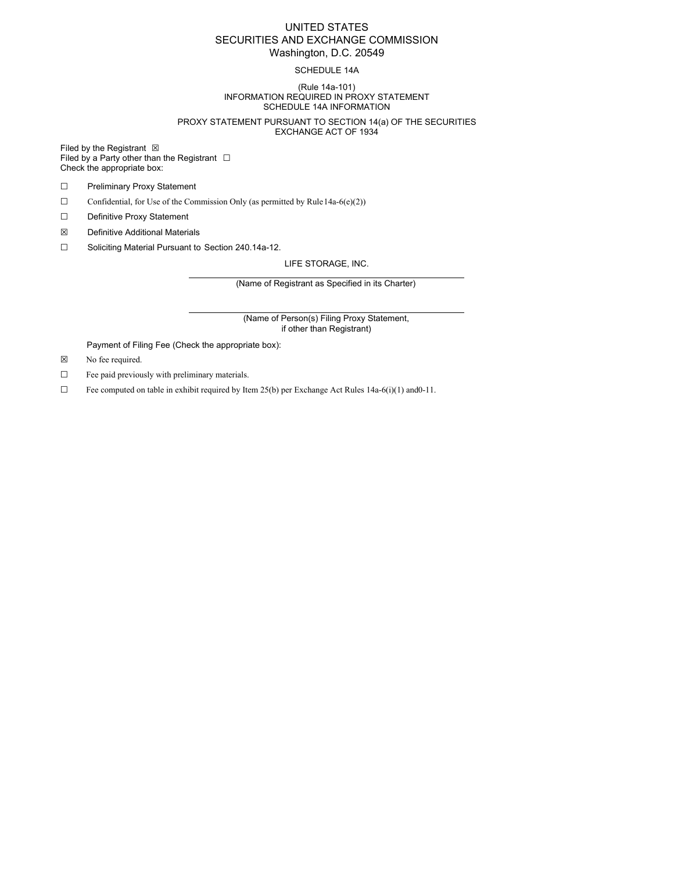# UNITED STATES SECURITIES AND EXCHANGE COMMISSION Washington, D.C. 20549

## SCHEDULE 14A

#### (Rule 14a-101) INFORMATION REQUIRED IN PROXY STATEMENT SCHEDULE 14A INFORMATION

#### PROXY STATEMENT PURSUANT TO SECTION 14(a) OF THE SECURITIES EXCHANGE ACT OF 1934

Filed by the Registrant  $\boxtimes$ Filed by a Party other than the Registrant  $□$ Check the appropriate box:

- ☐ Preliminary Proxy Statement
- $\Box$  Confidential, for Use of the Commission Only (as permitted by Rule 14a-6(e)(2))
- ☐ Definitive Proxy Statement
- ☒ Definitive Additional Materials
- ☐ Soliciting Material Pursuant to Section 240.14a-12.

LIFE STORAGE, INC.

(Name of Registrant as Specified in its Charter)

(Name of Person(s) Filing Proxy Statement, if other than Registrant)

Payment of Filing Fee (Check the appropriate box):

- ☒ No fee required.
- ☐ Fee paid previously with preliminary materials.
- $\Box$  Fee computed on table in exhibit required by Item 25(b) per Exchange Act Rules 14a-6(i)(1) and 0-11.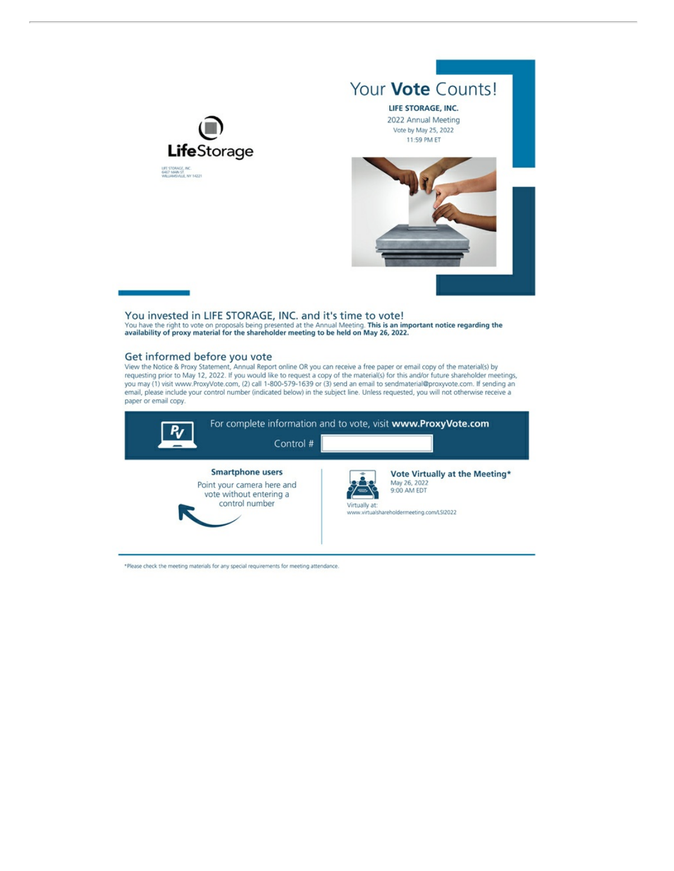

Your Vote Counts! LIFE STORAGE, INC. 2022 Annual Meeting Vote by May 25, 2022 11:59 PM ET



You invested in LIFE STORAGE, INC. and it's time to vote!<br>You have the right to vote on proposals being presented at the Annual Meeting. This is an important notice regarding the<br>availability of proxy material for the shar

### Get informed before you vote

View the Notice & Proxy Statement, Annual Report online OR you can receive a free paper or email copy of the material(s) by<br>requesting prior to May 12, 2022. If you would like to request a copy of the material(s) for this you may (1) visit www.ProxyVote.com, (2) call 1-800-579-1639 or (3) send an email to sendmaterial@proxyvote.com. If sending an email, please include your control number (indicated below) in the subject line. Unless requested, you will not otherwise receive a paper or email copy.



\*Please check the meeting materials for any special requirements for meeting attendance.